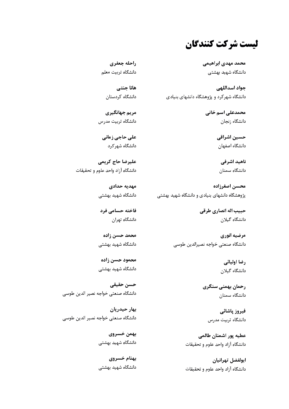ليست شركت كنندگان

محمد مهدى ابراهيمي دانشگاه شهید بهشتی

جواد اسداللهي دانشگاه شهر کرد و پژوهشگاه دانشهای بنیادی

> محمدعلی اسم خانی دانشگاه زنجان

> > حسین اشراقی دانشگاه اصفهان

ناهید اشرفی دانشگاه سمنان

محسن اصغرزاده یژوهشگاه دانشهای بنیادی و دانشگاه شهید بهشتی

> حبيب اله انصاري طرقي دانشگاه گیلان

مرضيه انوري دانشگاه صنعتى خواجه نصيرالدين طوسى

> رضا اولیائی دانشگاه گیلان

رحمان بهمنی سنگری دانشگاه سمنان

> فيروز پاشائي دانشگاه تربیت مدرس

عطيه يور اشمنان طالمي دانشگاه آزاد واحد علوم و تحقیقات

ابولفضل تهرانيان دانشگاه آزاد واحد علوم و تحقیقات

راحله جعفري دانشگاه تربیت معلم

> هانا جنتے دانشگاه کردستان

مريم جهانگيري دانشگاه تربیت مدرس

على حاجي زماني دانشگاه شهر کرد

عليرضا حاج كريمي دانشگاه آزاد واحد علوم و تحقیقات

> مهديه حدادى دانشگاه شهید بهشتی

> فاخته حسامی فرد دانشگاه تهران

> محمد حسن زاده دانشگاه شهید بهشتی

> محمود حسن زاده دانشگاه شهید بهشتی

حسن حقيقى دانشگاه صنعتى خواجه نصير الدين طوسى

بهار حيدريان دانشگاه صنعتى خواجه نصير الدين طوسى

> بهمن خسروي دانشگاه شهید بهشتی

> بهنام خسروي دانشگاه شهید بهشتی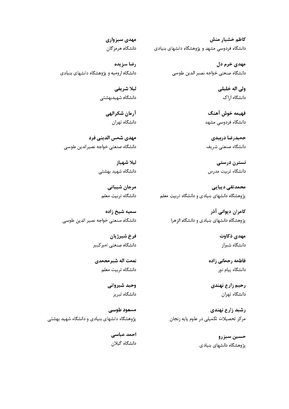كاظم خشيار منش دانشگاه فردوسی مشهد و پژوهشگاه دانشهای بنیادی

> مهدی خرم دل دانشگاه صنعتي خواجه نصير الدين طوسي

> > ولي اله خليلي دانشگاه اراک

فهيمه خوش آهنگ دانشگاه فردوسی مشهد

حميدرضا دربيدى دانشگاه صنعتے شریف

نسترن درستی دانشگاه تربیت مدرس

محمدتقی دیبایی پژوهشگاه دانشهای بنیادی و دانشگاه تربیت معلم

> کامران دیوانی آذر یژوهشگاه دانشهای بنیادی و دانشگاه الزهرا

> > مهدي ذكاوت دانشگاه شیراز

فاطمه رحماني زاده دانشگاه پیام نور

رحيم زارع نهندي دانشگاه تهران

رشید زارع نهندی مرکز تحصیلات تکمیلی در علوم پایه زنجان

> حسين سبزرو پژوهشگاه دانشهای بنیادی

مهدي سبزواري دانشگاه هرمز گان

رضا سزيده دانشگاه ارومیه و پژوهشگاه دانشهای بنیادی

> ليلا شريفي دانشگاه شهیدبهشتی

> > آرمان شكرالهي دانشگاه تهران

مهدى شمس الديني فرد دانشگاه صنعتی خواجه نصیرالدین طوسی

> ليلا شهباز دانشگاه شهید بهشتی

مرجان شيباني دانشگاه تربیت معلم

سميه شيخ زاده دانشگاه صنعتی خواجه نصیر الدین طوسی

> فرخ شيرژيان دانشگاہ صنعتے امیر کبیر

نعمت اله شيرمحمدي دانشگاه تربیت معلم

> وحيد شيرواني دانشگاه تبریز

مسعود طوسی پژوهشگاه دانشهای بنیادی و دانشگاه شهید بهشتی

> احمد عباسي دانشگاه گیلان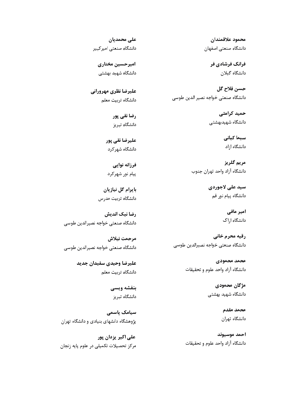محمود علاقمندان دانشگاه صنعتی اصفهان

> فرانک فرشادی فر دانشگاه گیلان

حسن فلاح گل دانشگاه صنعتي خواجه نصير الدين طوسي

> حمید کرامتی دانشگاه شهیدبهشتی

> > سیما کیانی دانشگاه ازاد

مريم گلريز دانشگاه آزاد واحد تهران جنوب

> سيد على لاجوردي دانشگاه پیام نور قم

> > امیر مافی دانشگاه اراک

رقيه محرم خاني دانشگاه صنعتی خواجه نصیرالدین طوسی

> محمد محمودي دانشگاه آزاد واحد علوم و تحقیقات

> > مژگان محمودی دانشگاه شهید بهشتی

> > > محمد مقدم دانشگاه تهران

احمد موسيوند دانشگاه آزاد واحد علوم و تحقیقات

على محمديان دانشگاه صنعتی امیر کبیر

امیر حسین مختاری دانشگاه شهید بهشتی

عليرضا نظري مهروراني دانشگاه تربیت معلم

> رضا نقی پور دانشگاه تبریز

عليرضا نقي يور دانشگاه شهر کرد

فرزانه نوایی پیام نور شهرکرد

بایرام گل نیازیان دانشگاه تربیت مدرس

رضا نیک اندیش دانشگاه صنعتى خواجه نصيرالدين طوسى

مرحمت نيلاش دانشگاه صنعتی خواجه نصیرالدین طوسی

> عليرضا وحيدى سفيدان جديد دانشگاه تربيت معلم

> > بنفشه ويسى دانشگاه تبریز

سیامک یاسمی پژوهشگاه دانشهای بنیادی و دانشگاه تهران

علے اکبر پزدان پور مرکز تحصیلات تکمیلی در علوم پایه زنجان